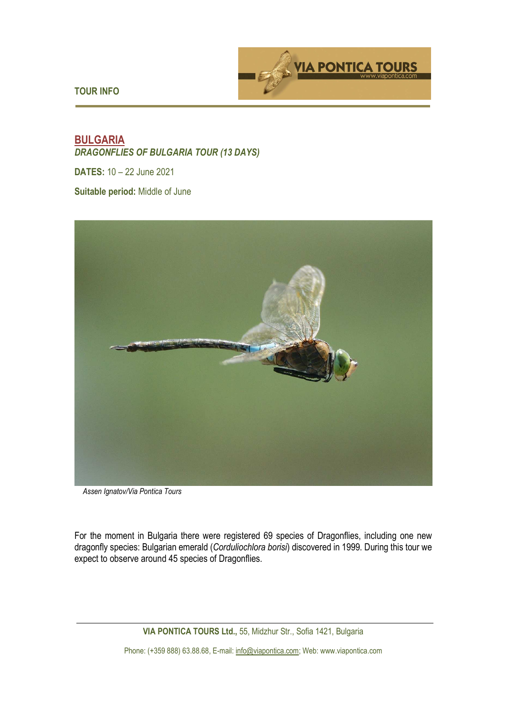



# **BULGARIA**  *DRAGONFLIES OF BULGARIA TOUR (13 DAYS)*

**DATES:** 10 – 22 June 2021

**Suitable period:** Middle of June



*Assen Ignatov/Via Pontica Tours* 

For the moment in Bulgaria there were registered 69 species of Dragonflies, including one new dragonfly species: Bulgarian emerald (*Corduliochlora borisi*) discovered in 1999. During this tour we expect to observe around 45 species of Dragonflies.

**VIA PONTICA TOURS Ltd.,** 55, Midzhur Str., Sofia 1421, Bulgaria

Phone: (+359 888) 63.88.68, E-mail: info@viapontica.com; Web: www.viapontica.com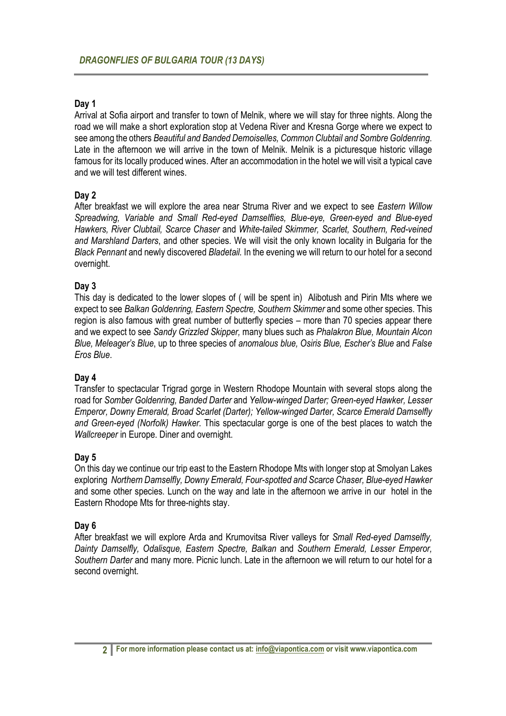# **Day 1**

Arrival at Sofia airport and transfer to town of Melnik, where we will stay for three nights. Along the road we will make a short exploration stop at Vedena River and Kresna Gorge where we expect to see among the others *Beautiful and Banded Demoiselles, Common Clubtail and Sombre Goldenring*. Late in the afternoon we will arrive in the town of Melnik. Melnik is a picturesque historic village famous for its locally produced wines. After an accommodation in the hotel we will visit a typical cave and we will test different wines.

# **Day 2**

After breakfast we will explore the area near Struma River and we expect to see *Eastern Willow Spreadwing, Variable and Small Red-eyed Damselflies, Blue-eye, Green-eyed and Blue-eyed Hawkers, River Clubtail, Scarce Chaser* and *White-tailed Skimmer, Scarlet, Southern, Red-veined and Marshland Darters*, and other species. We will visit the only known locality in Bulgaria for the *Black Pennant* and newly discovered *Bladetail.* In the evening we will return to our hotel for a second overnight.

### **Day 3**

This day is dedicated to the lower slopes of ( will be spent in) Alibotush and Pirin Mts where we expect to see *Balkan Goldenring, Eastern Spectre, Southern Skimmer* and some other species. This region is also famous with great number of butterfly species – more than 70 species appear there and we expect to see *Sandy Grizzled Skipper,* many blues such as *Phalakron Blue, Mountain Alcon Blue, Meleager's Blue*, up to three species of *anomalous blue, Osiris Blue, Escher's Blue* and *False Eros Blue*.

#### **Day 4**

Transfer to spectacular Trigrad gorge in Western Rhodope Mountain with several stops along the road for *Somber Goldenring, Banded Darter* and *Yellow-winged Darter; Green-eyed Hawker, Lesser Emperor, Downy Emerald, Broad Scarlet (Darter); Yellow-winged Darter, Scarce Emerald Damselfly and Green-eyed (Norfolk) Hawker.* This spectacular gorge is one of the best places to watch the *Wallcreeper* in Europe. Diner and overnight.

# **Day 5**

On this day we continue our trip east to the Eastern Rhodope Mts with longer stop at Smolyan Lakes exploring *Northern Damselfly, Downy Emerald, Four-spotted and Scarce Chaser, Blue-eyed Hawker* and some other species. Lunch on the way and late in the afternoon we arrive in our hotel in the Eastern Rhodope Mts for three-nights stay.

#### **Day 6**

After breakfast we will explore Arda and Krumovitsa River valleys for *Small Red-eyed Damselfly, Dainty Damselfly, Odalisque, Eastern Spectre, Balkan* and *Southern Emerald, Lesser Emperor, Southern Darter* and many more. Picnic lunch. Late in the afternoon we will return to our hotel for a second overnight.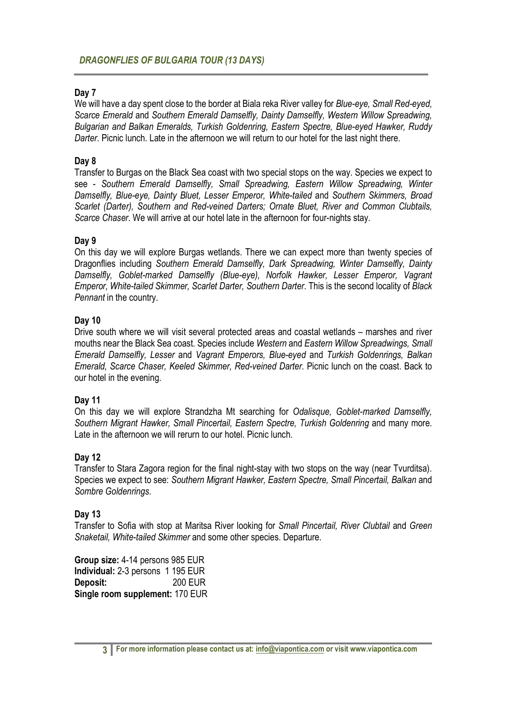# **Day 7**

We will have a day spent close to the border at Biala reka River valley for *Blue-eye, Small Red-eyed, Scarce Emerald* and *Southern Emerald Damselfly, Dainty Damselfly, Western Willow Spreadwing, Bulgarian and Balkan Emeralds, Turkish Goldenring, Eastern Spectre, Blue-eyed Hawker, Ruddy Darter*. Picnic lunch. Late in the afternoon we will return to our hotel for the last night there.

### **Day 8**

Transfer to Burgas on the Black Sea coast with two special stops on the way. Species we expect to see - *Southern Emerald Damselfly, Small Spreadwing, Eastern Willow Spreadwing, Winter Damselfly, Blue-eye, Dainty Bluet, Lesser Emperor, White-tailed* and *Southern Skimmers, Broad Scarlet (Darter), Southern and Red-veined Darters; Ornate Bluet, River and Common Clubtails, Scarce Chaser*. We will arrive at our hotel late in the afternoon for four-nights stay.

### **Day 9**

On this day we will explore Burgas wetlands. There we can expect more than twenty species of Dragonflies including *Southern Emerald Damselfly, Dark Spreadwing, Winter Damselfly, Dainty Damselfly, Goblet-marked Damselfly (Blue-eye), Norfolk Hawker, Lesser Emperor, Vagrant Emperor, White-tailed Skimmer, Scarlet Darter, Southern Darter*. This is the second locality of *Black Pennant* in the country.

### **Day 10**

Drive south where we will visit several protected areas and coastal wetlands – marshes and river mouths near the Black Sea coast. Species include *Western* and *Eastern Willow Spreadwings, Small Emerald Damselfly, Lesser* and *Vagrant Emperors, Blue-eyed* and *Turkish Goldenrings, Balkan Emerald, Scarce Chaser, Keeled Skimmer, Red-veined Darter*. Picnic lunch on the coast. Back to our hotel in the evening.

#### **Day 11**

On this day we will explore Strandzha Mt searching for *Odalisque, Goblet-marked Damselfly, Southern Migrant Hawker, Small Pincertail, Eastern Spectre, Turkish Goldenring* and many more. Late in the afternoon we will rerurn to our hotel. Picnic lunch.

#### **Day 12**

Transfer to Stara Zagora region for the final night-stay with two stops on the way (near Tvurditsa). Species we expect to see: *Southern Migrant Hawker, Eastern Spectre, Small Pincertail, Balkan* and *Sombre Goldenrings*.

#### **Day 13**

Transfer to Sofia with stop at Maritsa River looking for *Small Pincertail, River Clubtail* and *Green Snaketail, White-tailed Skimmer* and some other species. Departure.

**Group size:** 4-14 persons 985 EUR **Individual:** 2-3 persons 1 195 EUR **Deposit:** 200 EUR **Single room supplement:** 170 EUR